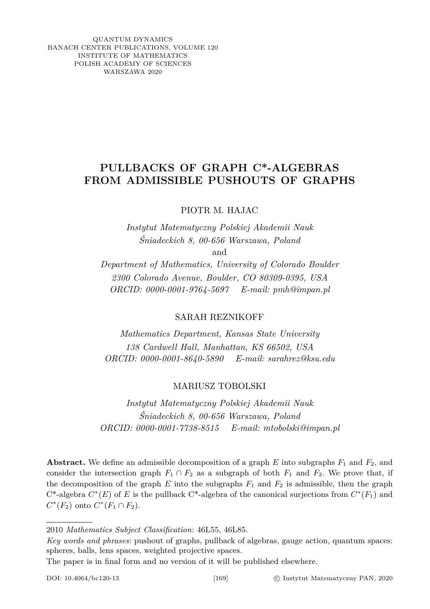QUANTUM DYNAMICS BANACH CENTER PUBLICATIONS, VOLUME 120 INSTITUTE OF MATHEMATICS POLISH ACADEMY OF SCIENCES WARSZAWA 2020

## **PULLBACKS OF GRAPH C\*-ALGEBRAS FROM ADMISSIBLE PUSHOUTS OF GRAPHS**

PIOTR M. HAJAC

*Instytut Matematyczny Polskiej Akademii Nauk Śniadeckich 8, 00-656 Warszawa, Poland* and

*Department of Mathematics, University of Colorado Boulder 2300 Colorado Avenue, Boulder, CO 80309-0395, USA ORCID: 0000-0001-9764-5697 E-mail: pmh@impan.pl*

SARAH REZNIKOFF

*Mathematics Department, Kansas State University 138 Cardwell Hall, Manhattan, KS 66502, USA ORCID: 0000-0001-8640-5890 E-mail: sarahrez@ksu.edu*

MARIUSZ TOBOLSKI

*Instytut Matematyczny Polskiej Akademii Nauk Śniadeckich 8, 00-656 Warszawa, Poland ORCID: 0000-0001-7738-8515 E-mail: mtobolski@impan.pl*

**Abstract.** We define an admissible decomposition of a graph *E* into subgraphs *F*<sup>1</sup> and *F*2, and consider the intersection graph  $F_1 \cap F_2$  as a subgraph of both  $F_1$  and  $F_2$ . We prove that, if the decomposition of the graph  $E$  into the subgraphs  $F_1$  and  $F_2$  is admissible, then the graph  $C^*$ -algebra  $C^*(E)$  of *E* is the pullback  $C^*$ -algebra of the canonical surjections from  $C^*(F_1)$  and  $C^*(F_2)$  onto  $C^*(F_1 \cap F_2)$ .

*Key words and phrases*: pushout of graphs, pullback of algebras, gauge action, quantum spaces: spheres, balls, lens spaces, weighted projective spaces.

The paper is in final form and no version of it will be published elsewhere.

<sup>2010</sup> *Mathematics Subject Classification*: 46L55, 46L85.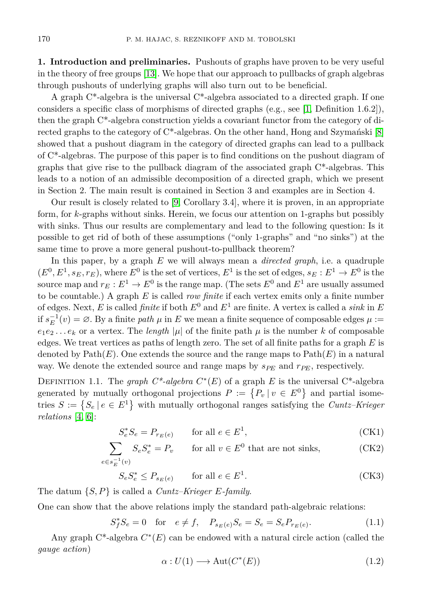**1. Introduction and preliminaries.** Pushouts of graphs have proven to be very useful in the theory of free groups [\[13\]](#page-9-0). We hope that our approach to pullbacks of graph algebras through pushouts of underlying graphs will also turn out to be beneficial.

A graph  $C^*$ -algebra is the universal  $C^*$ -algebra associated to a directed graph. If one considers a specific class of morphisms of directed graphs (e.g., see [\[1,](#page-9-1) Definition 1.6.2]), then the graph  $C^*$ -algebra construction yields a covariant functor from the category of directed graphs to the category of C\*-algebras. On the other hand, Hong and Szymański [\[8\]](#page-9-2) showed that a pushout diagram in the category of directed graphs can lead to a pullback of C\*-algebras. The purpose of this paper is to find conditions on the pushout diagram of graphs that give rise to the pullback diagram of the associated graph  $C^*$ -algebras. This leads to a notion of an admissible decomposition of a directed graph, which we present in Section 2. The main result is contained in Section 3 and examples are in Section 4.

Our result is closely related to [\[9,](#page-9-3) Corollary 3.4], where it is proven, in an appropriate form, for *k*-graphs without sinks. Herein, we focus our attention on 1-graphs but possibly with sinks. Thus our results are complementary and lead to the following question: Is it possible to get rid of both of these assumptions ("only 1-graphs" and "no sinks") at the same time to prove a more general pushout-to-pullback theorem?

In this paper, by a graph *E* we will always mean a *directed graph*, i.e. a quadruple  $(E^0, E^1, s_E, r_E)$ , where  $E^0$  is the set of vertices,  $E^1$  is the set of edges,  $s_E : E^1 \to E^0$  is the source map and  $r_E : E^1 \to E^0$  is the range map. (The sets  $E^0$  and  $E^1$  are usually assumed to be countable.) A graph *E* is called *row finite* if each vertex emits only a finite number of edges. Next, *E* is called *finite* if both  $E^0$  and  $E^1$  are finite. A vertex is called a *sink* in *E* if  $s_E^{-1}(v) = \emptyset$ . By a finite *path*  $\mu$  in *E* we mean a finite sequence of composable edges  $\mu$  :=  $e_1e_2...e_k$  or a vertex. The *length* |*µ*| of the finite path  $\mu$  is the number *k* of composable edges. We treat vertices as paths of length zero. The set of all finite paths for a graph *E* is denoted by  $\text{Path}(E)$ . One extends the source and the range maps to  $\text{Path}(E)$  in a natural way. We denote the extended source and range maps by  $s_{PF}$  and  $r_{PF}$ , respectively.

<span id="page-1-0"></span>DEFINITION 1.1. The *graph*  $C^*$ -algebra  $C^*(E)$  of a graph  $E$  is the universal  $C^*$ -algebra generated by mutually orthogonal projections  $P := \{P_v | v \in E^0\}$  and partial isometries  $S := \{ S_e \mid e \in E^1 \}$  with mutually orthogonal ranges satisfying the *Cuntz–Krieger relations* [\[4,](#page-9-4) [6\]](#page-9-5):

$$
S_e^* S_e = P_{r_E(e)} \qquad \text{for all } e \in E^1,\tag{CK1}
$$

$$
\sum_{e \in s_E^{-1}(v)} S_e S_e^* = P_v \qquad \text{for all } v \in E^0 \text{ that are not sinks,}
$$
 (CK2)

$$
S_e S_e^* \le P_{s_E(e)} \qquad \text{for all } e \in E^1. \tag{CK3}
$$

The datum {*S, P*} is called a *Cuntz–Krieger E-family*.

One can show that the above relations imply the standard path-algebraic relations:

$$
S_f^* S_e = 0 \text{ for } e \neq f, \quad P_{s_E(e)} S_e = S_e = S_e P_{r_E(e)}.
$$
 (1.1)

Any graph  $C^*$ -algebra  $C^*(E)$  can be endowed with a natural circle action (called the *gauge action*)

<span id="page-1-1"></span>
$$
\alpha: U(1) \longrightarrow \text{Aut}(C^*(E)) \tag{1.2}
$$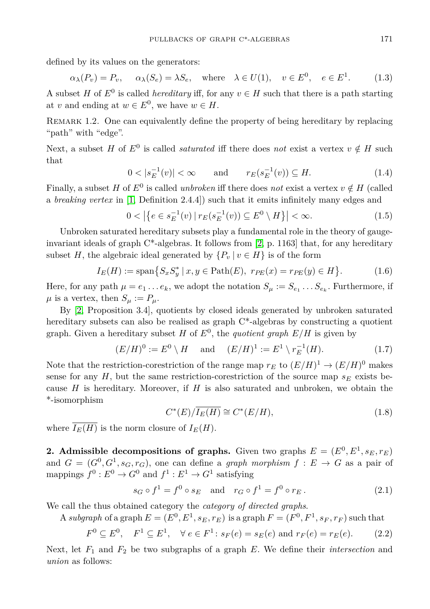defined by its values on the generators:

$$
\alpha_{\lambda}(P_v) = P_v, \quad \alpha_{\lambda}(S_e) = \lambda S_e, \quad \text{where} \quad \lambda \in U(1), \quad v \in E^0, \quad e \in E^1. \tag{1.3}
$$

A subset *H* of  $E^0$  is called *hereditary* iff, for any  $v \in H$  such that there is a path starting at *v* and ending at  $w \in E^0$ , we have  $w \in H$ .

<span id="page-2-0"></span>Remark 1.2. One can equivalently define the property of being hereditary by replacing "path" with "edge".

Next, a subset *H* of  $E^0$  is called *saturated* iff there does *not* exist a vertex  $v \notin H$  such that

$$
0 < |s_E^{-1}(v)| < \infty \quad \text{and} \quad r_E(s_E^{-1}(v)) \subseteq H. \tag{1.4}
$$

Finally, a subset *H* of  $E^0$  is called *unbroken* iff there does *not* exist a vertex  $v \notin H$  (called a *breaking vertex* in [\[1,](#page-9-1) Definition 2.4.4]) such that it emits infinitely many edges and

<span id="page-2-2"></span>
$$
0 < |\{e \in s_E^{-1}(v) \mid r_E(s_E^{-1}(v)) \subseteq E^0 \setminus H\}| < \infty.
$$
 (1.5)

Unbroken saturated hereditary subsets play a fundamental role in the theory of gaugeinvariant ideals of graph  $C^*$ -algebras. It follows from [\[2,](#page-9-6) p. 1163] that, for any hereditary subset *H*, the algebraic ideal generated by  $\{P_v | v \in H\}$  is of the form

$$
I_E(H) := \text{span}\{S_x S_y^* \,|\, x, y \in \text{Path}(E), \ r_{PE}(x) = r_{PE}(y) \in H\}. \tag{1.6}
$$

Here, for any path  $\mu = e_1 \ldots e_k$ , we adopt the notation  $S_{\mu} := S_{e_1} \ldots S_{e_k}$ . Furthermore, if  $\mu$  is a vertex, then  $S_{\mu} := P_{\mu}$ .

By [\[2,](#page-9-6) Proposition 3.4], quotients by closed ideals generated by unbroken saturated hereditary subsets can also be realised as graph  $C^*$ -algebras by constructing a quotient graph. Given a hereditary subset  $H$  of  $E^0$ , the *quotient graph*  $E/H$  is given by

<span id="page-2-1"></span>
$$
(E/H)^0 := E^0 \setminus H \quad \text{and} \quad (E/H)^1 := E^1 \setminus r_E^{-1}(H). \tag{1.7}
$$

Note that the restriction-corestriction of the range map  $r_E$  to  $(E/H)^1 \to (E/H)^0$  makes sense for any  $H$ , but the same restriction-corestriction of the source map  $s_E$  exists because *H* is hereditary. Moreover, if *H* is also saturated and unbroken, we obtain the \*-isomorphism

$$
C^*(E)/\overline{I_E(H)} \cong C^*(E/H),\tag{1.8}
$$

where  $\overline{I_E(H)}$  is the norm closure of  $I_E(H)$ .

**2.** Admissible decompositions of graphs. Given two graphs  $E = (E^0, E^1, s_E, r_E)$ and  $G = (G^0, G^1, s_G, r_G)$ , one can define a *graph morphism*  $f: E \to G$  as a pair of mappings  $f^0: E^0 \to G^0$  and  $f^1: E^1 \to G^1$  satisfying

$$
s_G \circ f^1 = f^0 \circ s_E \quad \text{and} \quad r_G \circ f^1 = f^0 \circ r_E. \tag{2.1}
$$

We call the thus obtained category the *category of directed graphs*.

A *subgraph* of a graph  $E = (E^0, E^1, s_E, r_E)$  is a graph  $F = (F^0, F^1, s_F, r_F)$  such that

$$
F^0 \subseteq E^0
$$
,  $F^1 \subseteq E^1$ ,  $\forall e \in F^1$ :  $s_F(e) = s_E(e)$  and  $r_F(e) = r_E(e)$ . (2.2)

Next, let *F*<sup>1</sup> and *F*<sup>2</sup> be two subgraphs of a graph *E*. We define their *intersection* and *union* as follows: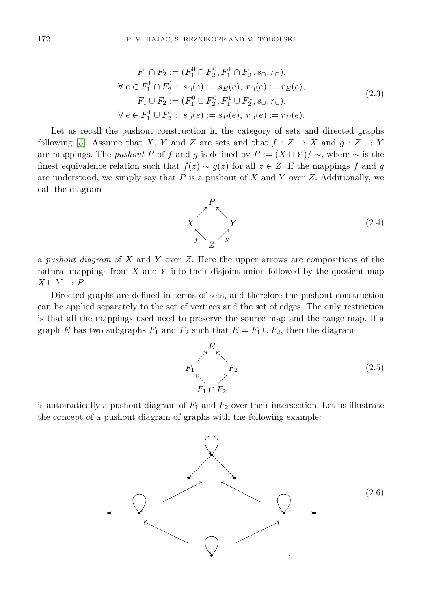$$
F_1 \cap F_2 := (F_1^0 \cap F_2^0, F_1^1 \cap F_2^1, s_{\cap}, r_{\cap}),
$$
  
\n
$$
\forall e \in F_1^1 \cap F_2^1 : s_{\cap}(e) := s_E(e), r_{\cap}(e) := r_E(e),
$$
  
\n
$$
F_1 \cup F_2 := (F_1^0 \cup F_2^0, F_1^1 \cup F_2^1, s_{\cup}, r_{\cup}),
$$
  
\n
$$
\forall e \in F_1^1 \cup F_2^1 : s_{\cup}(e) := s_E(e), r_{\cup}(e) := r_E(e).
$$
\n(2.3)

Let us recall the pushout construction in the category of sets and directed graphs following [\[5\]](#page-9-7). Assume that *X*, *Y* and *Z* are sets and that  $f : Z \to X$  and  $g : Z \to Y$ are mappings. The *pushout P* of *f* and *g* is defined by  $P := (X \sqcup Y) / \sim$ , where  $\sim$  is the finest equivalence relation such that  $f(z) \sim g(z)$  for all  $z \in Z$ . If the mappings *f* and *g* are understood, we simply say that *P* is a pushout of *X* and *Y* over *Z*. Additionally, we call the diagram



a *pushout diagram* of *X* and *Y* over *Z*. Here the upper arrows are compositions of the natural mappings from *X* and *Y* into their disjoint union followed by the quotient map  $X \sqcup Y \to P$ .

Directed graphs are defined in terms of sets, and therefore the pushout construction can be applied separately to the set of vertices and the set of edges. The only restriction is that all the mappings used need to preserve the source map and the range map. If a graph *E* has two subgraphs  $F_1$  and  $F_2$  such that  $E = F_1 \cup F_2$ , then the diagram

<span id="page-3-0"></span>

is automatically a pushout diagram of  $F_1$  and  $F_2$  over their intersection. Let us illustrate the concept of a pushout diagram of graphs with the following example:

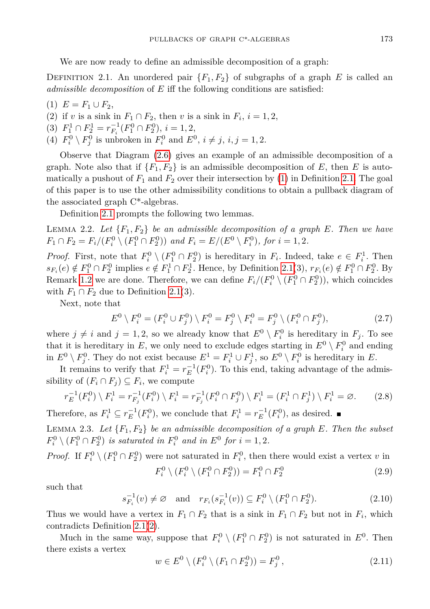We are now ready to define an admissible decomposition of a graph:

<span id="page-4-1"></span>DEFINITION 2.1. An unordered pair  ${F_1, F_2}$  of subgraphs of a graph *E* is called an *admissible decomposition* of *E* iff the following conditions are satisfied:

<span id="page-4-0"></span> $(1)$   $E = F_1 \cup F_2$ ,

<span id="page-4-2"></span>(2) if *v* is a sink in  $F_1 \cap F_2$ , then *v* is a sink in  $F_i$ ,  $i = 1, 2$ ,

(3)  $F_1^1 \cap F_2^1 = r_{F_i}^{-1}(F_1^0 \cap F_2^0), i = 1, 2,$ 

(4)  $F_i^0 \setminus F_j^0$  is unbroken in  $F_i^0$  and  $E^0$ ,  $i \neq j$ ,  $i, j = 1, 2$ .

Observe that Diagram [\(2.6\)](#page-3-0) gives an example of an admissible decomposition of a graph. Note also that if  ${F_1, F_2}$  is an admissible decomposition of *E*, then *E* is automatically a pushout of  $F_1$  and  $F_2$  over their intersection by [\(1\)](#page-4-0) in Definition [2.1.](#page-4-1) The goal of this paper is to use the other admissibility conditions to obtain a pullback diagram of the associated graph C\*-algebras.

Definition [2.1](#page-4-1) prompts the following two lemmas.

<span id="page-4-3"></span>LEMMA 2.2. Let  ${F_1, F_2}$  be an admissible decomposition of a graph E. Then we have  $F_1 \cap F_2 = F_i / (F_i^0 \setminus (F_1^0 \cap F_2^0))$  and  $F_i = E / (E^0 \setminus F_i^0)$ , for  $i = 1, 2$ .

*Proof.* First, note that  $F_i^0 \setminus (F_1^0 \cap F_2^0)$  is hereditary in  $F_i$ . Indeed, take  $e \in F_i^1$ . Then  $s_{F_i}(e) \notin F_1^0 \cap F_2^0$  implies  $e \notin F_1^1 \cap F_2^1$ . Hence, by Definition [2.1\(](#page-4-1)3),  $r_{F_i}(e) \notin F_1^0 \cap F_2^0$ . By Remark [1.2](#page-2-0) we are done. Therefore, we can define  $F_i/(F_i^0 \setminus (F_1^0 \cap F_2^0))$ , which coincides with  $F_1 \cap F_2$  due to Definition [2.1\(](#page-4-1)3).

Next, note that

$$
E^{0} \setminus F_{i}^{0} = (F_{i}^{0} \cup F_{j}^{0}) \setminus F_{i}^{0} = F_{j}^{0} \setminus F_{i}^{0} = F_{j}^{0} \setminus (F_{i}^{0} \cap F_{j}^{0}), \tag{2.7}
$$

where  $j \neq i$  and  $j = 1, 2$ , so we already know that  $E^0 \setminus F_i^0$  is hereditary in  $F_j$ . To see that it is hereditary in  $E$ , we only need to exclude edges starting in  $E^0 \setminus F_i^0$  and ending in  $E^0 \setminus F_j^0$ . They do not exist because  $E^1 = F_i^1 \cup F_j^1$ , so  $E^0 \setminus F_i^0$  is hereditary in *E*.

It remains to verify that  $F_i^1 = r_E^{-1}(F_i^0)$ . To this end, taking advantage of the admissibility of  $(F_i \cap F_j) \subseteq F_i$ , we compute

$$
r_E^{-1}(F_i^0) \setminus F_i^1 = r_{F_j}^{-1}(F_i^0) \setminus F_i^1 = r_{F_j}^{-1}(F_i^0 \cap F_j^0) \setminus F_i^1 = (F_i^1 \cap F_j^1) \setminus F_i^1 = \emptyset. \tag{2.8}
$$

Therefore, as  $F_i^1 \subseteq r_E^{-1}(F_i^0)$ , we conclude that  $F_i^1 = r_E^{-1}(F_i^0)$ , as desired.

<span id="page-4-4"></span>LEMMA 2.3. Let  ${F_1, F_2}$  be an admissible decomposition of a graph  $E$ *. Then the subset*  $F_i^0 \setminus (F_1^0 \cap F_2^0)$  *is saturated in*  $F_i^0$  *and in*  $E^0$  *for*  $i = 1, 2$ *.* 

*Proof.* If  $F_i^0 \setminus (F_1^0 \cap F_2^0)$  were not saturated in  $F_i^0$ , then there would exist a vertex *v* in

$$
F_i^0 \setminus (F_i^0 \setminus (F_1^0 \cap F_2^0)) = F_1^0 \cap F_2^0 \tag{2.9}
$$

such that

$$
s_{F_i}^{-1}(v) \neq \emptyset \quad \text{and} \quad r_{F_i}(s_{F_i}^{-1}(v)) \subseteq F_i^0 \setminus (F_1^0 \cap F_2^0). \tag{2.10}
$$

Thus we would have a vertex in  $F_1 \cap F_2$  that is a sink in  $F_1 \cap F_2$  but not in  $F_i$ , which contradicts Definition [2.1\(](#page-4-1)[2\)](#page-4-2).

Much in the same way, suppose that  $F_i^0 \setminus (F_1^0 \cap F_2^0)$  is not saturated in  $E^0$ . Then there exists a vertex

$$
w \in E^{0} \setminus (F_{i}^{0} \setminus (F_{1} \cap F_{2}^{0})) = F_{j}^{0}, \qquad (2.11)
$$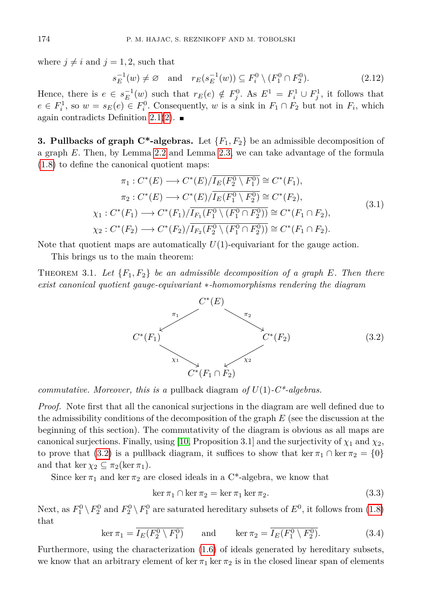where  $j \neq i$  and  $j = 1, 2$ , such that

$$
s_E^{-1}(w) \neq \emptyset \quad \text{and} \quad r_E(s_E^{-1}(w)) \subseteq F_i^0 \setminus (F_1^0 \cap F_2^0). \tag{2.12}
$$

Hence, there is  $e \in s_E^{-1}(w)$  such that  $r_E(e) \notin F_j^0$ . As  $E^1 = F_i^1 \cup F_j^1$ , it follows that  $e \in F_i^1$ , so  $w = s_E(e) \in F_i^0$ . Consequently, *w* is a sink in  $F_1 \cap F_2$  but not in  $F_i$ , which again contradicts Definition [2.1\(](#page-4-1)[2\)](#page-4-2).  $\blacksquare$ 

**3. Pullbacks of graph C\*-algebras.** Let  ${F_1, F_2}$  be an admissible decomposition of a graph *E*. Then, by Lemma [2.2](#page-4-3) and Lemma [2.3,](#page-4-4) we can take advantage of the formula [\(1.8\)](#page-2-1) to define the canonical quotient maps:

$$
\pi_1: C^*(E) \longrightarrow C^*(E)/\overline{I_E(F_2^0 \setminus F_1^0)} \cong C^*(F_1),
$$
  
\n
$$
\pi_2: C^*(E) \longrightarrow C^*(E)/\overline{I_E(F_1^0 \setminus F_2^0)} \cong C^*(F_2),
$$
  
\n
$$
\chi_1: C^*(F_1) \longrightarrow C^*(F_1)/\overline{I_{F_1}(F_1^0 \setminus (F_1^0 \cap F_2^0))} \cong C^*(F_1 \cap F_2),
$$
  
\n
$$
\chi_2: C^*(F_2) \longrightarrow C^*(F_2)/\overline{I_{F_2}(F_2^0 \setminus (F_1^0 \cap F_2^0))} \cong C^*(F_1 \cap F_2).
$$
  
\n(3.1)

Note that quotient maps are automatically *U*(1)-equivariant for the gauge action.

This brings us to the main theorem:

<span id="page-5-1"></span>THEOREM 3.1. Let  ${F_1, F_2}$  be an admissible decomposition of a graph E. Then there *exist canonical quotient gauge-equivariant* ∗*-homomorphisms rendering the diagram*

<span id="page-5-0"></span>

*commutative. Moreover, this is a* pullback diagram *of U*(1)*-C\*-algebras.*

*Proof.* Note first that all the canonical surjections in the diagram are well defined due to the admissibility conditions of the decomposition of the graph *E* (see the discussion at the beginning of this section). The commutativity of the diagram is obvious as all maps are canonical surjections. Finally, using [\[10,](#page-9-8) Proposition 3.1] and the surjectivity of  $\chi_1$  and  $\chi_2$ , to prove that [\(3.2\)](#page-5-0) is a pullback diagram, it suffices to show that ker  $\pi_1 \cap \ker \pi_2 = \{0\}$ and that ker  $\chi_2 \subseteq \pi_2(\ker \pi_1)$ .

Since ker  $\pi_1$  and ker  $\pi_2$  are closed ideals in a C<sup>\*</sup>-algebra, we know that

$$
\ker \pi_1 \cap \ker \pi_2 = \ker \pi_1 \ker \pi_2. \tag{3.3}
$$

Next, as  $F_1^0 \setminus F_2^0$  and  $F_2^0 \setminus F_1^0$  are saturated hereditary subsets of  $E^0$ , it follows from  $(1.8)$ that

$$
\ker \pi_1 = \overline{I_E(F_2^0 \setminus F_1^0)} \quad \text{and} \quad \ker \pi_2 = \overline{I_E(F_1^0 \setminus F_2^0)}.
$$
 (3.4)

Furthermore, using the characterization [\(1.6\)](#page-2-2) of ideals generated by hereditary subsets, we know that an arbitrary element of ker  $\pi_1$  ker  $\pi_2$  is in the closed linear span of elements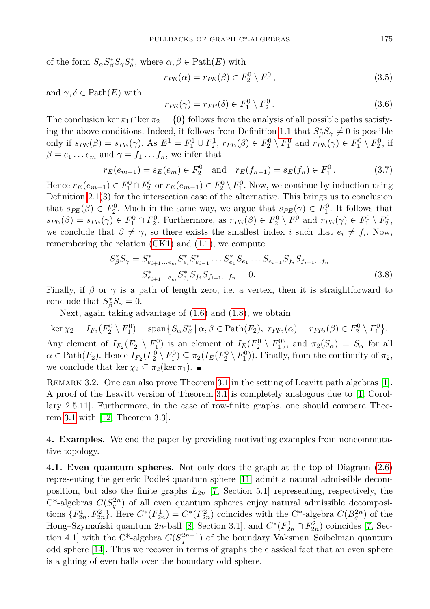of the form  $S_{\alpha} S_{\beta}^* S_{\gamma} S_{\delta}^*$ , where  $\alpha, \beta \in \text{Path}(E)$  with

$$
r_{PE}(\alpha) = r_{PE}(\beta) \in F_2^0 \setminus F_1^0, \qquad (3.5)
$$

and  $\gamma, \delta \in \text{Path}(E)$  with

$$
r_{PE}(\gamma) = r_{PE}(\delta) \in F_1^0 \setminus F_2^0. \tag{3.6}
$$

The conclusion ker  $\pi_1 \cap \ker \pi_2 = \{0\}$  follows from the analysis of all possible paths satisfy-ing the above conditions. Indeed, it follows from Definition [1.1](#page-1-0) that  $S^*_{\beta}S_{\gamma} \neq 0$  is possible only if  $s_{PE}(\beta) = s_{PE}(\gamma)$ . As  $E^1 = F_1^1 \cup F_2^1$ ,  $r_{PE}(\beta) \in F_2^0 \setminus F_1^0$  and  $r_{PE}(\gamma) \in F_1^0 \setminus F_2^0$ , if  $\beta = e_1 \dots e_m$  and  $\gamma = f_1 \dots f_n$ , we infer that

$$
r_E(e_{m-1}) = s_E(e_m) \in F_2^0 \quad \text{and} \quad r_E(f_{n-1}) = s_E(f_n) \in F_1^0. \tag{3.7}
$$

Hence  $r_E(e_{m-1}) \in F_1^0 \cap F_2^0$  or  $r_E(e_{m-1}) \in F_2^0 \setminus F_1^0$ . Now, we continue by induction using Definition  $2.1(3)$  for the intersection case of the alternative. This brings us to conclusion that  $s_{PE}(\beta) \in F_2^0$ . Much in the same way, we argue that  $s_{PE}(\gamma) \in F_1^0$ . It follows that  $s_{PE}(\beta) = s_{PE}(\gamma) \in F_1^0 \cap F_2^0$ . Furthermore, as  $r_{PE}(\beta) \in F_2^0 \setminus F_1^0$  and  $r_{PE}(\gamma) \in F_1^0 \setminus F_2^0$ , we conclude that  $\beta \neq \gamma$ , so there exists the smallest index *i* such that  $e_i \neq f_i$ . Now, remembering the relation  $(CK1)$  and  $(1.1)$ , we compute

$$
S_{\beta}^{*} S_{\gamma} = S_{e_{i+1} \dots e_m}^{*} S_{e_i}^{*} S_{e_{i-1}}^{*} \dots S_{e_1}^{*} S_{e_1} \dots S_{e_{i-1}} S_{f_i} S_{f_{i+1} \dots f_n}
$$
  
= 
$$
S_{e_{i+1} \dots e_m}^{*} S_{e_i}^{*} S_{f_i} S_{f_{i+1} \dots f_n} = 0.
$$
 (3.8)

Finally, if  $\beta$  or  $\gamma$  is a path of length zero, i.e. a vertex, then it is straightforward to conclude that  $S^*_{\beta}S_{\gamma} = 0$ .

Next, again taking advantage of [\(1.6\)](#page-2-2) and [\(1.8\)](#page-2-1), we obtain

 $\ker \chi_2 = \overline{I_{F_2}(F_2^0 \setminus F_1^0)} = \overline{\operatorname{span}}\big\{S_\alpha S_\beta^* \mid \alpha, \beta \in \operatorname{Path}(F_2), \ r_{PF_2}(\alpha) = r_{PF_2}(\beta) \in F_2^0 \setminus F_1^0 \big\}.$ Any element of  $I_{F_2}(F_2^0 \setminus F_1^0)$  is an element of  $I_E(F_2^0 \setminus F_1^0)$ , and  $\pi_2(S_\alpha) = S_\alpha$  for all  $\alpha \in \text{Path}(F_2)$ . Hence  $I_{F_2}(F_2^0 \setminus F_1^0) \subseteq \pi_2(I_E(F_2^0 \setminus F_1^0))$ . Finally, from the continuity of  $\pi_2$ , we conclude that ker  $\chi_2 \subseteq \pi_2(\ker \pi_1)$ .

REMARK 3.2. One can also prove Theorem [3.1](#page-5-1) in the setting of Leavitt path algebras [\[1\]](#page-9-1). A proof of the Leavitt version of Theorem [3.1](#page-5-1) is completely analogous due to [\[1,](#page-9-1) Corollary 2.5.11]. Furthermore, in the case of row-finite graphs, one should compare Theorem [3.1](#page-5-1) with [\[12,](#page-9-9) Theorem 3.3].

**4. Examples.** We end the paper by providing motivating examples from noncommutative topology.

**4.1. Even quantum spheres.** Not only does the graph at the top of Diagram [\(2.6\)](#page-3-0) representing the generic Podleś quantum sphere [\[11\]](#page-9-10) admit a natural admissible decomposition, but also the finite graphs  $L_{2n}$  [\[7,](#page-9-11) Section 5.1] representing, respectively, the  $C^*$ -algebras  $C(S_q^{2n})$  of all even quantum spheres enjoy natural admissible decompositions  ${F_{2n}^1, F_{2n}^2}$ . Here  $C^*(F_{2n}^1) = C^*(F_{2n}^2)$  coincides with the C<sup>\*</sup>-algebra  $C(B_q^{2n})$  of the Hong–Szymański quantum 2*n*-ball [\[8,](#page-9-2) Section 3.1], and  $C^*(F_{2n}^1 \cap F_{2n}^2)$  coincides [\[7,](#page-9-11) Section 4.1] with the C<sup>\*</sup>-algebra  $C(S_q^{2n-1})$  of the boundary Vaksman–Soibelman quantum odd sphere [\[14\]](#page-9-12). Thus we recover in terms of graphs the classical fact that an even sphere is a gluing of even balls over the boundary odd sphere.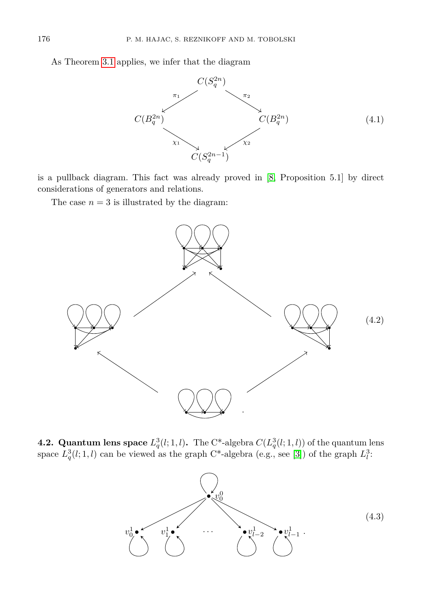As Theorem [3.1](#page-5-1) applies, we infer that the diagram



is a pullback diagram. This fact was already proved in [\[8,](#page-9-2) Proposition 5.1] by direct considerations of generators and relations.

The case  $n = 3$  is illustrated by the diagram:



**4.2. Quantum lens space**  $L_q^3(l; 1, l)$ . The C<sup>\*</sup>-algebra  $C(L_q^3(l; 1, l))$  of the quantum lens space  $L_q^3(l; 1, l)$  can be viewed as the graph C<sup>\*</sup>-algebra (e.g., see [\[3\]](#page-9-13)) of the graph  $L_l^3$ :

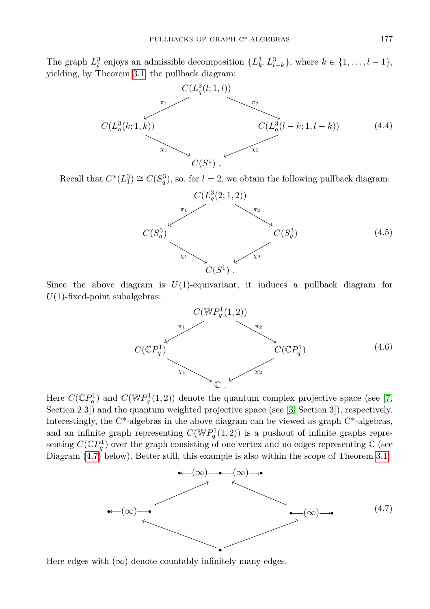The graph  $L_l^3$  enjoys an admissible decomposition  $\{L_k^3, L_{l-k}^3\}$ , where  $k \in \{1, ..., l-1\}$ , yielding, by Theorem [3.1,](#page-5-1) the pullback diagram:



Recall that  $C^*(L_1^3) \cong C(S_q^3)$ , so, for  $l = 2$ , we obtain the following pullback diagram:



Since the above diagram is  $U(1)$ -equivariant, it induces a pullback diagram for  $U(1)$ -fixed-point subalgebras:



Here  $C(\mathbb{C}P_q^1)$  and  $C(\mathbb{W}P_q^1(1,2))$  denote the quantum complex projective space (see [\[7,](#page-9-11) Section 2.3) and the quantum weighted projective space (see [\[3,](#page-9-13) Section 3]), respectively. Interestingly, the C\*-algebras in the above diagram can be viewed as graph C\*-algebras, and an infinite graph representing  $C(\mathbb{W}P_q^1(1,2))$  is a pushout of infinite graphs representing  $C(\mathbb{C}P_q^1)$  over the graph consisting of one vertex and no edges representing  $\mathbb C$  (see Diagram [\(4.7\)](#page-8-0) below). Better still, this example is also within the scope of Theorem [3.1.](#page-5-1)

<span id="page-8-0"></span>

Here edges with  $(\infty)$  denote countably infinitely many edges.